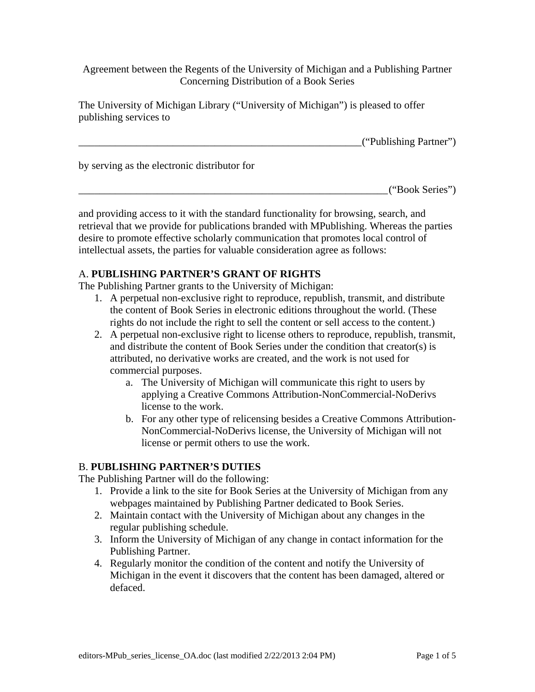Agreement between the Regents of the University of Michigan and a Publishing Partner Concerning Distribution of a Book Series

The University of Michigan Library ("University of Michigan") is pleased to offer publishing services to

\_\_\_\_\_\_\_\_\_\_\_\_\_\_\_\_\_\_\_\_\_\_\_\_\_\_\_\_\_\_\_\_\_\_\_\_\_\_\_\_\_\_\_\_\_\_\_\_\_\_\_\_\_\_ ("Publishing Partner")

by serving as the electronic distributor for

\_\_\_\_\_\_\_\_\_\_\_\_\_\_\_\_\_\_\_\_\_\_\_\_\_\_\_\_\_\_\_\_\_\_\_\_\_\_\_\_\_\_\_\_\_\_\_\_\_\_\_\_\_\_\_\_\_\_\_ ("Book Series")

and providing access to it with the standard functionality for browsing, search, and retrieval that we provide for publications branded with MPublishing. Whereas the parties desire to promote effective scholarly communication that promotes local control of intellectual assets, the parties for valuable consideration agree as follows:

## A. **PUBLISHING PARTNER'S GRANT OF RIGHTS**

The Publishing Partner grants to the University of Michigan:

- 1. A perpetual non-exclusive right to reproduce, republish, transmit, and distribute the content of Book Series in electronic editions throughout the world. (These rights do not include the right to sell the content or sell access to the content.)
- 2. A perpetual non-exclusive right to license others to reproduce, republish, transmit, and distribute the content of Book Series under the condition that creator(s) is attributed, no derivative works are created, and the work is not used for commercial purposes.
	- a. The University of Michigan will communicate this right to users by applying a Creative Commons Attribution-NonCommercial-NoDerivs license to the work.
	- b. For any other type of relicensing besides a Creative Commons Attribution-NonCommercial-NoDerivs license, the University of Michigan will not license or permit others to use the work.

## B. **PUBLISHING PARTNER'S DUTIES**

The Publishing Partner will do the following:

- 1. Provide a link to the site for Book Series at the University of Michigan from any webpages maintained by Publishing Partner dedicated to Book Series.
- 2. Maintain contact with the University of Michigan about any changes in the regular publishing schedule.
- 3. Inform the University of Michigan of any change in contact information for the Publishing Partner.
- 4. Regularly monitor the condition of the content and notify the University of Michigan in the event it discovers that the content has been damaged, altered or defaced.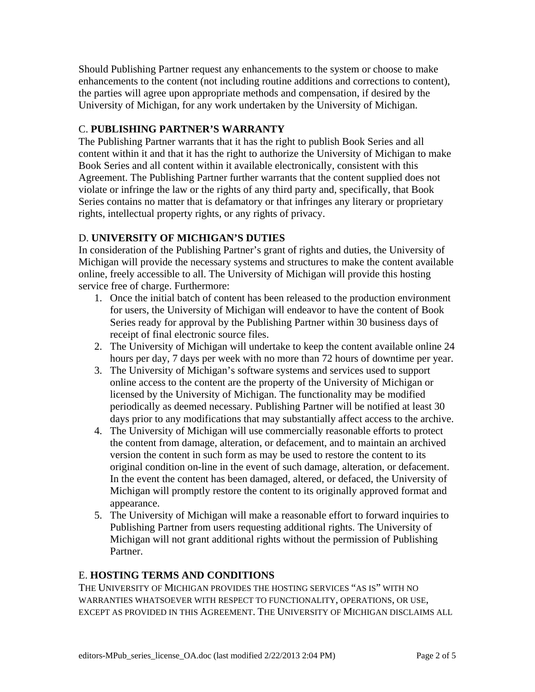Should Publishing Partner request any enhancements to the system or choose to make enhancements to the content (not including routine additions and corrections to content), the parties will agree upon appropriate methods and compensation, if desired by the University of Michigan, for any work undertaken by the University of Michigan.

# C. **PUBLISHING PARTNER'S WARRANTY**

The Publishing Partner warrants that it has the right to publish Book Series and all content within it and that it has the right to authorize the University of Michigan to make Book Series and all content within it available electronically, consistent with this Agreement. The Publishing Partner further warrants that the content supplied does not violate or infringe the law or the rights of any third party and, specifically, that Book Series contains no matter that is defamatory or that infringes any literary or proprietary rights, intellectual property rights, or any rights of privacy.

# D. **UNIVERSITY OF MICHIGAN'S DUTIES**

In consideration of the Publishing Partner's grant of rights and duties, the University of Michigan will provide the necessary systems and structures to make the content available online, freely accessible to all. The University of Michigan will provide this hosting service free of charge. Furthermore:

- 1. Once the initial batch of content has been released to the production environment for users, the University of Michigan will endeavor to have the content of Book Series ready for approval by the Publishing Partner within 30 business days of receipt of final electronic source files.
- 2. The University of Michigan will undertake to keep the content available online 24 hours per day, 7 days per week with no more than 72 hours of downtime per year.
- 3. The University of Michigan's software systems and services used to support online access to the content are the property of the University of Michigan or licensed by the University of Michigan. The functionality may be modified periodically as deemed necessary. Publishing Partner will be notified at least 30 days prior to any modifications that may substantially affect access to the archive.
- 4. The University of Michigan will use commercially reasonable efforts to protect the content from damage, alteration, or defacement, and to maintain an archived version the content in such form as may be used to restore the content to its original condition on-line in the event of such damage, alteration, or defacement. In the event the content has been damaged, altered, or defaced, the University of Michigan will promptly restore the content to its originally approved format and appearance.
- 5. The University of Michigan will make a reasonable effort to forward inquiries to Publishing Partner from users requesting additional rights. The University of Michigan will not grant additional rights without the permission of Publishing Partner.

# E. **HOSTING TERMS AND CONDITIONS**

THE UNIVERSITY OF MICHIGAN PROVIDES THE HOSTING SERVICES "AS IS" WITH NO WARRANTIES WHATSOEVER WITH RESPECT TO FUNCTIONALITY, OPERATIONS, OR USE, EXCEPT AS PROVIDED IN THIS AGREEMENT. THE UNIVERSITY OF MICHIGAN DISCLAIMS ALL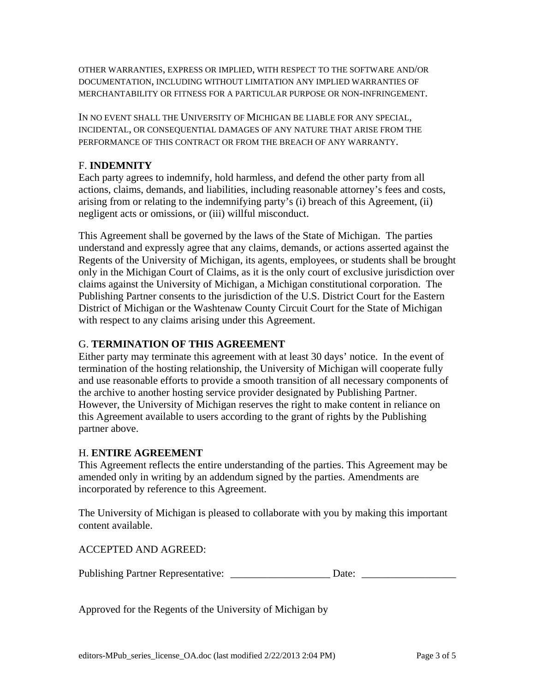OTHER WARRANTIES, EXPRESS OR IMPLIED, WITH RESPECT TO THE SOFTWARE AND/OR DOCUMENTATION, INCLUDING WITHOUT LIMITATION ANY IMPLIED WARRANTIES OF MERCHANTABILITY OR FITNESS FOR A PARTICULAR PURPOSE OR NON-INFRINGEMENT.

IN NO EVENT SHALL THE UNIVERSITY OF MICHIGAN BE LIABLE FOR ANY SPECIAL, INCIDENTAL, OR CONSEQUENTIAL DAMAGES OF ANY NATURE THAT ARISE FROM THE PERFORMANCE OF THIS CONTRACT OR FROM THE BREACH OF ANY WARRANTY.

## F. **INDEMNITY**

Each party agrees to indemnify, hold harmless, and defend the other party from all actions, claims, demands, and liabilities, including reasonable attorney's fees and costs, arising from or relating to the indemnifying party's (i) breach of this Agreement, (ii) negligent acts or omissions, or (iii) willful misconduct.

This Agreement shall be governed by the laws of the State of Michigan. The parties understand and expressly agree that any claims, demands, or actions asserted against the Regents of the University of Michigan, its agents, employees, or students shall be brought only in the Michigan Court of Claims, as it is the only court of exclusive jurisdiction over claims against the University of Michigan, a Michigan constitutional corporation. The Publishing Partner consents to the jurisdiction of the U.S. District Court for the Eastern District of Michigan or the Washtenaw County Circuit Court for the State of Michigan with respect to any claims arising under this Agreement.

## G. **TERMINATION OF THIS AGREEMENT**

Either party may terminate this agreement with at least 30 days' notice. In the event of termination of the hosting relationship, the University of Michigan will cooperate fully and use reasonable efforts to provide a smooth transition of all necessary components of the archive to another hosting service provider designated by Publishing Partner. However, the University of Michigan reserves the right to make content in reliance on this Agreement available to users according to the grant of rights by the Publishing partner above.

#### H. **ENTIRE AGREEMENT**

This Agreement reflects the entire understanding of the parties. This Agreement may be amended only in writing by an addendum signed by the parties. Amendments are incorporated by reference to this Agreement.

The University of Michigan is pleased to collaborate with you by making this important content available.

ACCEPTED AND AGREED:

| <b>Publishing Partner Representative:</b> | Date: |
|-------------------------------------------|-------|
|-------------------------------------------|-------|

Approved for the Regents of the University of Michigan by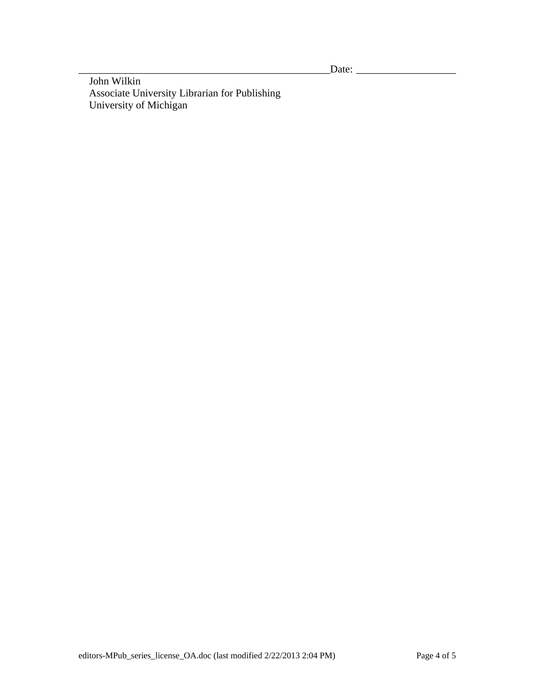\_\_\_\_\_\_\_\_\_\_\_\_\_\_\_\_\_\_\_\_\_\_\_\_\_\_\_\_\_\_\_\_\_\_\_\_\_\_\_\_\_\_\_\_\_\_\_\_Date: \_\_\_\_\_\_\_\_\_\_\_\_\_\_\_\_\_\_\_

 John Wilkin Associate University Librarian for Publishing University of Michigan